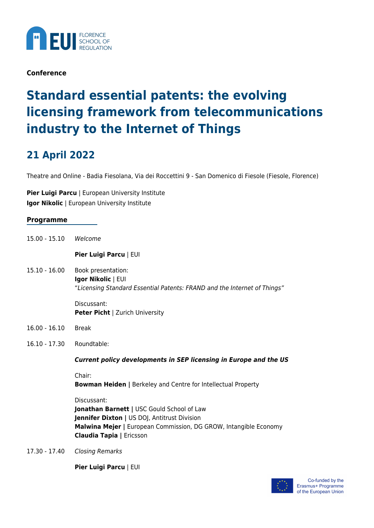

**Conference**

## **Standard essential patents: the evolving licensing framework from telecommunications industry to the Internet of Things**

## **21 April 2022**

Theatre and Online - Badia Fiesolana, Via dei Roccettini 9 - San Domenico di Fiesole (Fiesole, Florence)

**Pier Luigi Parcu** | European University Institute **Igor Nikolic** | European University Institute

| Programme |  |
|-----------|--|
|-----------|--|

15.00 - 15.10 Welcome

**Pier Luigi Parcu** | EUI

15.10 - 16.00 Book presentation: **Igor Nikolic** | EUI "Licensing Standard Essential Patents: FRAND and the Internet of Things"

> Discussant: **Peter Picht** | Zurich University

- 16.00 16.10 Break
- 16.10 17.30 Roundtable:

*Current policy developments in SEP licensing in Europe and the US*

Chair:

**Bowman Heiden |** Berkeley and Centre for Intellectual Property

Discussant:

**Jonathan Barnett |** USC Gould School of Law **Jennifer Dixton | US DOJ, Antitrust Division Malwina Mejer |** European Commission, DG GROW, Intangible Economy **Claudia Tapia |** Ericsson

17.30 - 17.40 Closing Remarks

**Pier Luigi Parcu** | EUI